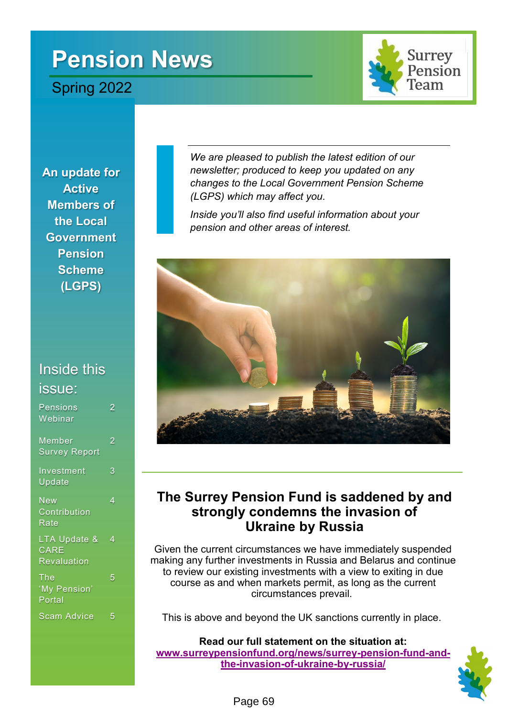# **Pension News**





**An update for Active Members of the Local Government Pension Scheme (LGPS)**

### Inside this issue:

| <b>Pensions</b><br>Webinar                 | 2              |
|--------------------------------------------|----------------|
| Member<br><b>Survey Report</b>             | $\overline{2}$ |
| Investment<br><u>Update</u>                | 3              |
| <b>New</b><br>Contribution<br>Rate         | 4              |
| LTA Update &<br>CARE<br><b>Revaluation</b> | 4              |
| The<br>'My Pension'<br>Portal              | 5              |
| Scam Advice                                | 5              |

*We are pleased to publish the latest edition of our newsletter; produced to keep you updated on any changes to the Local Government Pension Scheme (LGPS) which may affect you.* 

*Inside you'll also find useful information about your pension and other areas of interest.* 



### **The Surrey Pension Fund is saddened by and strongly condemns the invasion of Ukraine by Russia**

Given the current circumstances we have immediately suspended making any further investments in Russia and Belarus and continue to review our existing investments with a view to exiting in due course as and when markets permit, as long as the current circumstances prevail.

This is above and beyond the UK sanctions currently in place.

**Read our full statement on the situation at: [www.surreypensionfund.org/news/surrey](http://www.surreypensionfund.org/news/surrey-pension-fund-and-the-invasion-of-ukraine-by-russia/)-pension-fund-andthe-[invasion](http://www.surreypensionfund.org/news/surrey-pension-fund-and-the-invasion-of-ukraine-by-russia/)-of-ukraine-by-russia/**

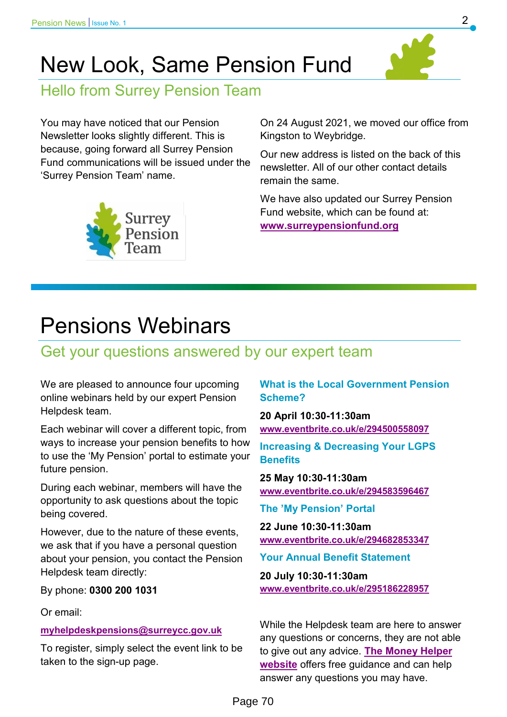## New Look, Same Pension Fund

Hello from Surrey Pension Team

You may have noticed that our Pension Newsletter looks slightly different. This is because, going forward all Surrey Pension Fund communications will be issued under the 'Surrey Pension Team' name.



On 24 August 2021, we moved our office from Kingston to Weybridge.

Our new address is listed on the back of this newsletter. All of our other contact details remain the same.

We have also updated our Surrey Pension Fund website, which can be found at: **[www.surreypensionfund.org](https://www.surreypensionfund.org)**

## Pensions Webinars

### Get your questions answered by our expert team

We are pleased to announce four upcoming online webinars held by our expert Pension Helpdesk team.

Each webinar will cover a different topic, from ways to increase your pension benefits to how to use the 'My Pension' portal to estimate your future pension.

During each webinar, members will have the opportunity to ask questions about the topic being covered.

However, due to the nature of these events, we ask that if you have a personal question about your pension, you contact the Pension Helpdesk team directly:

By phone: **0300 200 1031**

Or email:

#### **[myhelpdeskpensions@surreycc.gov.uk](mailto:myhelpdeskpensions@surreycc.gov.uk)**

To register, simply select the event link to be taken to the sign-up page.

**What is the Local Government Pension Scheme?** 

**20 April 10:30-11:30am [www.eventbrite.co.uk/e/294500558097](https://www.eventbrite.co.uk/e/what-is-the-local-government-pension-scheme-an-lgps-overview-tickets-294500558097)**

**Increasing & Decreasing Your LGPS Benefits** 

**25 May 10:30-11:30am [www.eventbrite.co.uk/e/294583596467](https://www.eventbrite.co.uk/e/increasing-decreasing-your-lgps-benefits-tickets-294583596467)**

**The 'My Pension' Portal** 

**22 June 10:30-11:30am [www.eventbrite.co.uk/e/294682853347](https://www.eventbrite.co.uk/e/the-my-pension-portal-tickets-294682853347)** 

**Your Annual Benefit Statement** 

**20 July 10:30-11:30am [www.eventbrite.co.uk/e/295186228957](https://www.eventbrite.co.uk/e/your-annual-benefit-statement-tickets-295186228957)**

While the Helpdesk team are here to answer any questions or concerns, they are not able to give out any advice. **[The Money Helper](https://www.moneyhelper.org.uk/en/pensions-and-retirement/pension-wise/book-a-free-pension-wise-appointment)  [website](https://www.moneyhelper.org.uk/en/pensions-and-retirement/pension-wise/book-a-free-pension-wise-appointment)** offers free guidance and can help answer any questions you may have.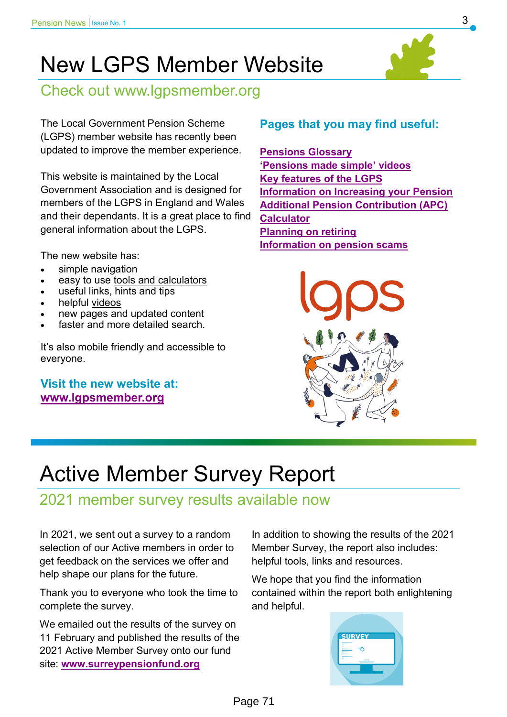## New LGPS Member Website



Check out www.lgpsmember.org

The Local Government Pension Scheme (LGPS) member website has recently been updated to improve the member experience.

This website is maintained by the Local Government Association and is designed for members of the LGPS in England and Wales and their dependants. It is a great place to find general information about the LGPS.

The new website has:

- simple navigation
- easy to use [tools and calculators](https://www.lgpsmember.org/help-and-support/tools-and-calculators/)
- useful links, hints and tips
- helpful [videos](https://www.lgpsmember.org/help-and-support/videos/)
- new pages and updated content
- faster and more detailed search.

It's also mobile friendly and accessible to everyone.

**Visit the new website at: [www.lgpsmember.org](https://www.lgpsmember.org/)**

### **Pages that you may find useful:**

**[Pensions Glossary](https://www.lgpsmember.org/help-and-support/glossary/) '[Pensions made simple](https://www.lgpsmember.org/help-and-support/videos/)' videos [Key features of the LGPS](https://www.lgpsmember.org/your-pension/the-essentials/key-features/) [Information on Increasing your Pension](https://www.lgpsmember.org/your-pension/paying-in/paying-more/) [Additional Pension Contribution \(APC\)](https://www.lgpsmember.org/help-and-support/tools-and-calculators/buy-extra-pension-calculator/)  [Calculator](https://www.lgpsmember.org/help-and-support/tools-and-calculators/buy-extra-pension-calculator/) [Planning on retiring](https://www.lgpsmember.org/your-pension/planning/) [Information on pension scams](https://www.lgpsmember.org/your-pension/thinking-of-leaving/pension-scams/)** 



### Active Member Survey Report

### 2021 member survey results available now

In 2021, we sent out a survey to a random selection of our Active members in order to get feedback on the services we offer and help shape our plans for the future.

Thank you to everyone who took the time to complete the survey.

We emailed out the results of the survey on 11 February and published the results of the 2021 Active Member Survey onto our fund site: **[www.surreypensionfund.org](https://www.surreypensionfund.org/forms-and-publications/active-member-survey-2021/)**

In addition to showing the results of the 2021 Member Survey, the report also includes: helpful tools, links and resources.

We hope that you find the information contained within the report both enlightening and helpful.

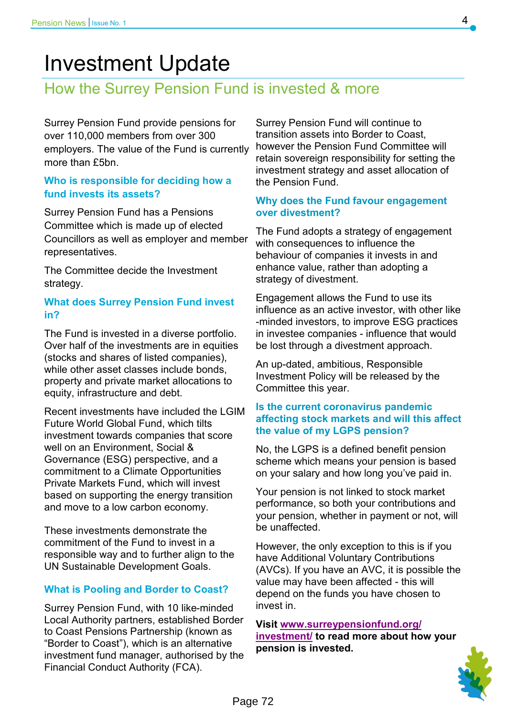### Investment Update

### How the Surrey Pension Fund is invested & more

Surrey Pension Fund provide pensions for over 110,000 members from over 300 employers. The value of the Fund is currently more than £5bn.

#### **Who is responsible for deciding how a fund invests its assets?**

Surrey Pension Fund has a Pensions Committee which is made up of elected Councillors as well as employer and member representatives.

The Committee decide the Investment strategy.

#### **What does Surrey Pension Fund invest in?**

The Fund is invested in a diverse portfolio. Over half of the investments are in equities (stocks and shares of listed companies), while other asset classes include bonds. property and private market allocations to equity, infrastructure and debt.

Recent investments have included the LGIM Future World Global Fund, which tilts investment towards companies that score well on an Environment, Social & Governance (ESG) perspective, and a commitment to a Climate Opportunities Private Markets Fund, which will invest based on supporting the energy transition and move to a low carbon economy.

These investments demonstrate the commitment of the Fund to invest in a responsible way and to further align to the UN Sustainable Development Goals.

#### **What is Pooling and Border to Coast?**

Surrey Pension Fund, with 10 like-minded Local Authority partners, established Border to Coast Pensions Partnership (known as "Border to Coast"), which is an alternative investment fund manager, authorised by the Financial Conduct Authority (FCA).

Surrey Pension Fund will continue to transition assets into Border to Coast, however the Pension Fund Committee will retain sovereign responsibility for setting the investment strategy and asset allocation of the Pension Fund.

#### **Why does the Fund favour engagement over divestment?**

The Fund adopts a strategy of engagement with consequences to influence the behaviour of companies it invests in and enhance value, rather than adopting a strategy of divestment.

Engagement allows the Fund to use its influence as an active investor, with other like -minded investors, to improve ESG practices in investee companies - influence that would be lost through a divestment approach.

An up-dated, ambitious, Responsible Investment Policy will be released by the Committee this year.

#### **Is the current coronavirus pandemic affecting stock markets and will this affect the value of my LGPS pension?**

No, the LGPS is a defined benefit pension scheme which means your pension is based on your salary and how long you've paid in.

Your pension is not linked to stock market performance, so both your contributions and your pension, whether in payment or not, will be unaffected.

However, the only exception to this is if you have Additional Voluntary Contributions (AVCs). If you have an AVC, it is possible the value may have been affected - this will depend on the funds you have chosen to invest in.

**Visit [www.surreypensionfund.org/](http://www.surreypensionfund.org/investment/) [investment/](http://www.surreypensionfund.org/investment/) to read more about how your pension is invested.**

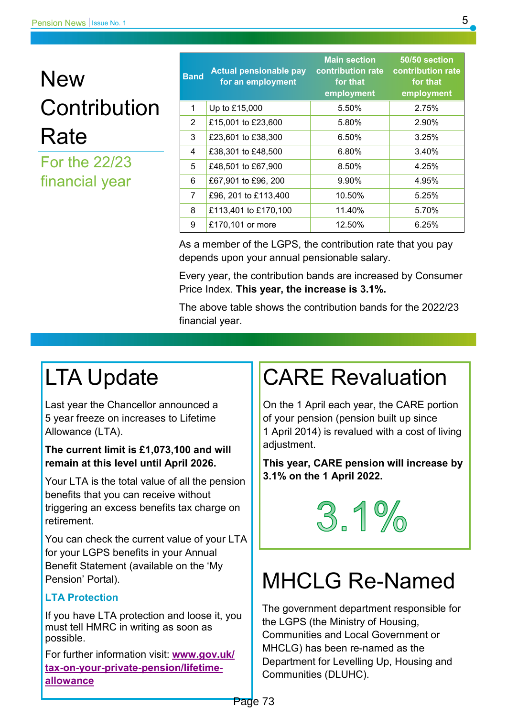# **New Contribution** Rate

For the 22/23 financial year

| <b>Band</b> | <b>Actual pensionable pay</b><br>for an employment | <b>Main section</b><br>contribution rate<br>for that<br>employment | 50/50 section<br>contribution rate<br>for that<br>employment |
|-------------|----------------------------------------------------|--------------------------------------------------------------------|--------------------------------------------------------------|
| 1           | Up to £15,000                                      | 5.50%                                                              | 2.75%                                                        |
| 2           | £15,001 to £23,600                                 | 5.80%                                                              | 2.90%                                                        |
| 3           | £23,601 to £38,300                                 | 6.50%                                                              | 3.25%                                                        |
| 4           | £38,301 to £48,500                                 | 6.80%                                                              | 3.40%                                                        |
| 5           | £48,501 to £67,900                                 | 8.50%                                                              | 4.25%                                                        |
| 6           | £67,901 to £96, 200                                | 9.90%                                                              | 4.95%                                                        |
| 7           | £96, 201 to £113,400                               | 10.50%                                                             | 5.25%                                                        |
| 8           | £113,401 to £170,100                               | 11.40%                                                             | 5.70%                                                        |
| 9           | £170,101 or more                                   | 12.50%                                                             | 6.25%                                                        |

As a member of the LGPS, the contribution rate that you pay depends upon your annual pensionable salary.

Every year, the contribution bands are increased by Consumer Price Index. **This year, the increase is 3.1%.** 

The above table shows the contribution bands for the 2022/23 financial year.

## LTA Update

Last year the Chancellor announced a 5 year freeze on increases to Lifetime Allowance (LTA).

#### **The current limit is £1,073,100 and will remain at this level until April 2026.**

Your LTA is the total value of all the pension benefits that you can receive without triggering an excess benefits tax charge on retirement.

You can check the current value of your LTA for your LGPS benefits in your Annual Benefit Statement (available on the 'My Pension' Portal).

### **LTA Protection**

If you have LTA protection and loose it, you must tell HMRC in writing as soon as possible.

For further information visit: **[www.gov.uk/](http://www.gov.uk/tax-on-your-private-pension/lifetime-allowance) tax-on-your-private-[pension/lifetime](http://www.gov.uk/tax-on-your-private-pension/lifetime-allowance)[allowance](http://www.gov.uk/tax-on-your-private-pension/lifetime-allowance)**

# CARE Revaluation

On the 1 April each year, the CARE portion of your pension (pension built up since 1 April 2014) is revalued with a cost of living adiustment.

**This year, CARE pension will increase by 3.1% on the 1 April 2022.** 



## MHCLG Re-Named

The government department responsible for the LGPS (the Ministry of Housing, Communities and Local Government or MHCLG) has been re-named as the Department for Levelling Up, Housing and Communities (DLUHC).